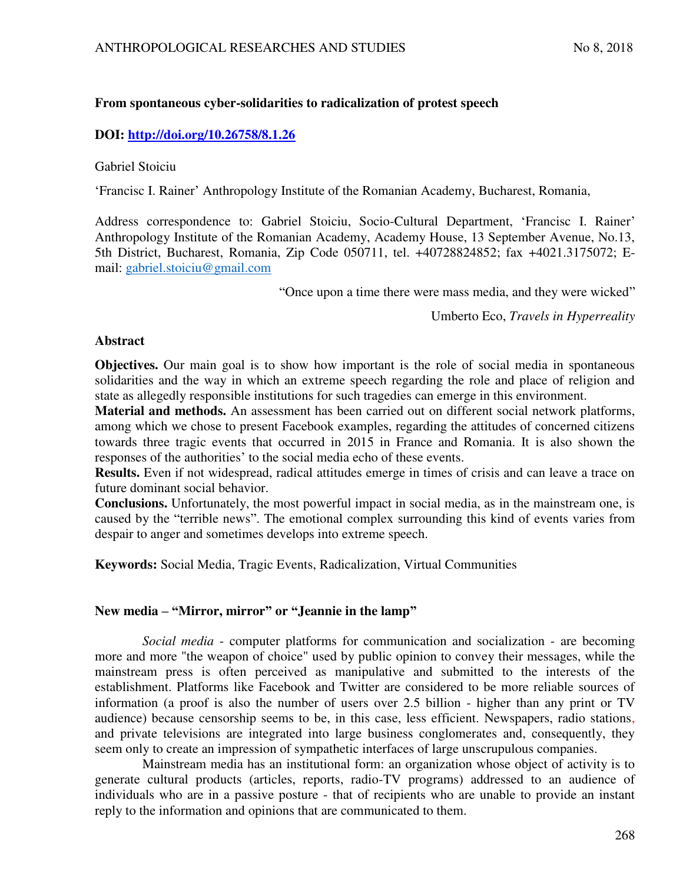# **From spontaneous cyber-solidarities to radicalization of protest speech**

## **DOI:<http://doi.org/10.26758/8.1.26>**

Gabriel Stoiciu

'Francisc I. Rainer' Anthropology Institute of the Romanian Academy, Bucharest, Romania,

Address correspondence to: Gabriel Stoiciu, Socio-Cultural Department, 'Francisc I. Rainer' Anthropology Institute of the Romanian Academy, Academy House, 13 September Avenue, No.13, 5th District, Bucharest, Romania, Zip Code 050711, tel. +40728824852; fax +4021.3175072; Email: [gabriel.stoiciu@gmail.com](mailto:gabriel.stoiciu@gmail.com)

"Once upon a time there were mass media, and they were wicked"

Umberto Eco, *Travels in Hyperreality*

## **Abstract**

**Objectives.** Our main goal is to show how important is the role of social media in spontaneous solidarities and the way in which an extreme speech regarding the role and place of religion and state as allegedly responsible institutions for such tragedies can emerge in this environment.

**Material and methods.** An assessment has been carried out on different social network platforms, among which we chose to present Facebook examples, regarding the attitudes of concerned citizens towards three tragic events that occurred in 2015 in France and Romania. It is also shown the responses of the authorities' to the social media echo of these events.

**Results.** Even if not widespread, radical attitudes emerge in times of crisis and can leave a trace on future dominant social behavior.

**Conclusions.** Unfortunately, the most powerful impact in social media, as in the mainstream one, is caused by the "terrible news". The emotional complex surrounding this kind of events varies from despair to anger and sometimes develops into extreme speech.

**Keywords:** Social Media, Tragic Events, Radicalization, Virtual Communities

## **New media – "Mirror, mirror" or "Jeannie in the lamp"**

*Social media* - computer platforms for communication and socialization - are becoming more and more "the weapon of choice" used by public opinion to convey their messages, while the mainstream press is often perceived as manipulative and submitted to the interests of the establishment. Platforms like Facebook and Twitter are considered to be more reliable sources of information (a proof is also the number of users over 2.5 billion - higher than any print or TV audience) because censorship seems to be, in this case, less efficient. Newspapers, radio stations, and private televisions are integrated into large business conglomerates and, consequently, they seem only to create an impression of sympathetic interfaces of large unscrupulous companies.

Mainstream media has an institutional form: an organization whose object of activity is to generate cultural products (articles, reports, radio-TV programs) addressed to an audience of individuals who are in a passive posture - that of recipients who are unable to provide an instant reply to the information and opinions that are communicated to them.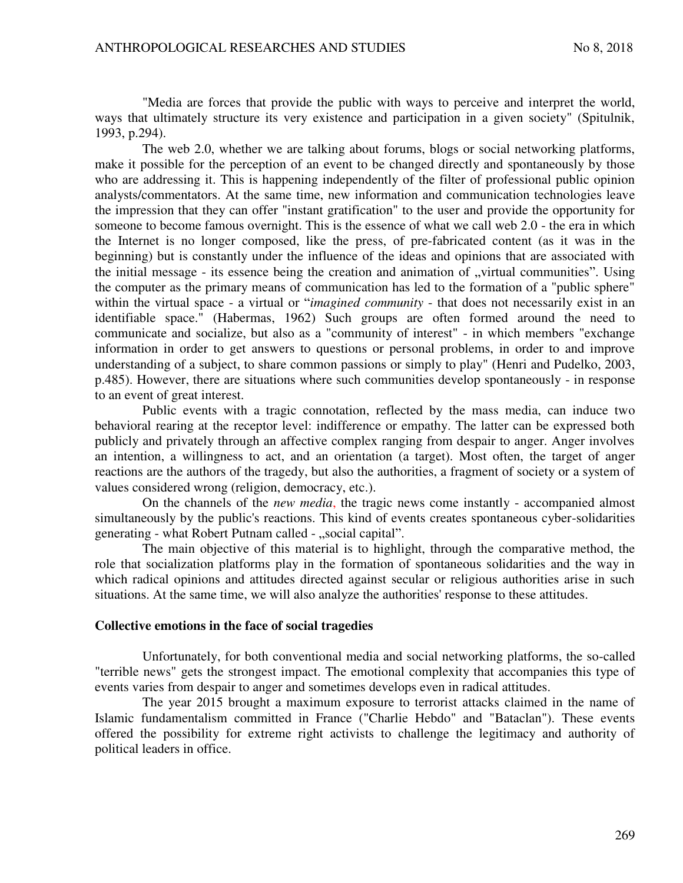"Media are forces that provide the public with ways to perceive and interpret the world, ways that ultimately structure its very existence and participation in a given society" (Spitulnik, 1993, p.294).

The web 2.0, whether we are talking about forums, blogs or social networking platforms, make it possible for the perception of an event to be changed directly and spontaneously by those who are addressing it. This is happening independently of the filter of professional public opinion analysts/commentators. At the same time, new information and communication technologies leave the impression that they can offer "instant gratification" to the user and provide the opportunity for someone to become famous overnight. This is the essence of what we call web 2.0 - the era in which the Internet is no longer composed, like the press, of pre-fabricated content (as it was in the beginning) but is constantly under the influence of the ideas and opinions that are associated with the initial message - its essence being the creation and animation of "virtual communities". Using the computer as the primary means of communication has led to the formation of a "public sphere" within the virtual space - a virtual or "*imagined community* - that does not necessarily exist in an identifiable space." (Habermas, 1962) Such groups are often formed around the need to communicate and socialize, but also as a "community of interest" - in which members "exchange information in order to get answers to questions or personal problems, in order to and improve understanding of a subject, to share common passions or simply to play" (Henri and Pudelko, 2003, p.485). However, there are situations where such communities develop spontaneously - in response to an event of great interest.

Public events with a tragic connotation, reflected by the mass media, can induce two behavioral rearing at the receptor level: indifference or empathy. The latter can be expressed both publicly and privately through an affective complex ranging from despair to anger. Anger involves an intention, a willingness to act, and an orientation (a target). Most often, the target of anger reactions are the authors of the tragedy, but also the authorities, a fragment of society or a system of values considered wrong (religion, democracy, etc.).

On the channels of the *new media*, the tragic news come instantly - accompanied almost simultaneously by the public's reactions. This kind of events creates spontaneous cyber-solidarities generating - what Robert Putnam called - "social capital".

The main objective of this material is to highlight, through the comparative method, the role that socialization platforms play in the formation of spontaneous solidarities and the way in which radical opinions and attitudes directed against secular or religious authorities arise in such situations. At the same time, we will also analyze the authorities' response to these attitudes.

### **Collective emotions in the face of social tragedies**

Unfortunately, for both conventional media and social networking platforms, the so-called "terrible news" gets the strongest impact. The emotional complexity that accompanies this type of events varies from despair to anger and sometimes develops even in radical attitudes.

The year 2015 brought a maximum exposure to terrorist attacks claimed in the name of Islamic fundamentalism committed in France ("Charlie Hebdo" and "Bataclan"). These events offered the possibility for extreme right activists to challenge the legitimacy and authority of political leaders in office.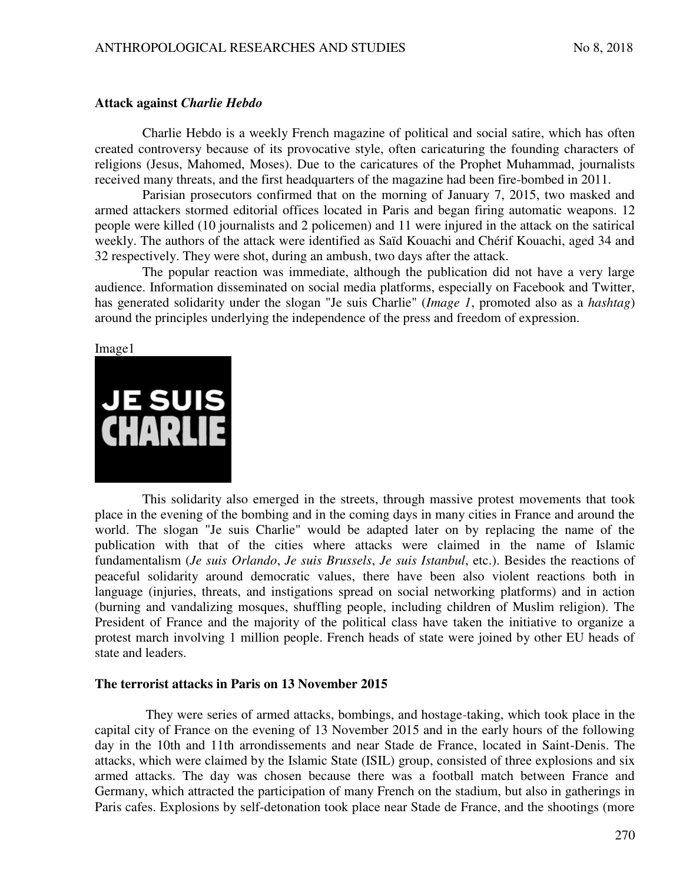## **Attack against** *Charlie Hebdo*

Charlie Hebdo is a weekly French magazine of political and social satire, which has often created controversy because of its provocative style, often caricaturing the founding characters of religions (Jesus, Mahomed, Moses). Due to the caricatures of the Prophet Muhammad, journalists received many threats, and the first headquarters of the magazine had been fire-bombed in 2011.

Parisian prosecutors confirmed that on the morning of January 7, 2015, two masked and armed attackers stormed editorial offices located in Paris and began firing automatic weapons. 12 people were killed (10 journalists and 2 policemen) and 11 were injured in the attack on the satirical weekly. The authors of the attack were identified as Saïd Kouachi and Chérif Kouachi, aged 34 and 32 respectively. They were shot, during an ambush, two days after the attack.

The popular reaction was immediate, although the publication did not have a very large audience. Information disseminated on social media platforms, especially on Facebook and Twitter, has generated solidarity under the slogan "Je suis Charlie" (*Image 1*, promoted also as a *hashtag*) around the principles underlying the independence of the press and freedom of expression.

### Image1



This solidarity also emerged in the streets, through massive protest movements that took place in the evening of the bombing and in the coming days in many cities in France and around the world. The slogan "Je suis Charlie" would be adapted later on by replacing the name of the publication with that of the cities where attacks were claimed in the name of Islamic fundamentalism (*Je suis Orlando*, *Je suis Brussels*, *Je suis Istanbul*, etc.). Besides the reactions of peaceful solidarity around democratic values, there have been also violent reactions both in language (injuries, threats, and instigations spread on social networking platforms) and in action (burning and vandalizing mosques, shuffling people, including children of Muslim religion). The President of France and the majority of the political class have taken the initiative to organize a protest march involving 1 million people. French heads of state were joined by other EU heads of state and leaders.

## **The terrorist attacks in Paris on 13 November 2015**

 They were series of armed attacks, bombings, and hostage-taking, which took place in the capital city of France on the evening of 13 November 2015 and in the early hours of the following day in the 10th and 11th arrondissements and near Stade de France, located in Saint-Denis. The attacks, which were claimed by the Islamic State (ISIL) group, consisted of three explosions and six armed attacks. The day was chosen because there was a football match between France and Germany, which attracted the participation of many French on the stadium, but also in gatherings in Paris cafes. Explosions by self-detonation took place near Stade de France, and the shootings (more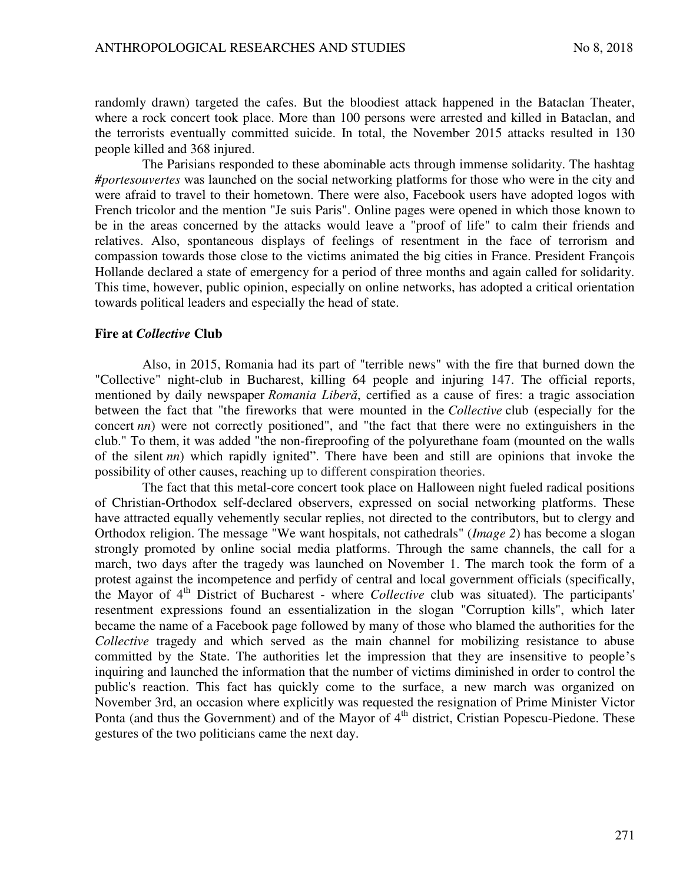randomly drawn) targeted the cafes. But the bloodiest attack happened in the Bataclan Theater, where a rock concert took place. More than 100 persons were arrested and killed in Bataclan, and the terrorists eventually committed suicide. In total, the November 2015 attacks resulted in 130 people killed and 368 injured.

The Parisians responded to these abominable acts through immense solidarity. The hashtag *#portesouvertes* was launched on the social networking platforms for those who were in the city and were afraid to travel to their hometown. There were also, Facebook users have adopted logos with French tricolor and the mention "Je suis Paris". Online pages were opened in which those known to be in the areas concerned by the attacks would leave a "proof of life" to calm their friends and relatives. Also, spontaneous displays of feelings of resentment in the face of terrorism and compassion towards those close to the victims animated the big cities in France. President François Hollande declared a state of emergency for a period of three months and again called for solidarity. This time, however, public opinion, especially on online networks, has adopted a critical orientation towards political leaders and especially the head of state.

### **Fire at** *Collective* **Club**

Also, in 2015, Romania had its part of "terrible news" with the fire that burned down the "Collective" night-club in Bucharest, killing 64 people and injuring 147. The official reports, mentioned by daily newspaper *Romania Liberă*, certified as a cause of fires: a tragic association between the fact that "the fireworks that were mounted in the *Collective* club (especially for the concert *nn*) were not correctly positioned", and "the fact that there were no extinguishers in the club." To them, it was added "the non-fireproofing of the polyurethane foam (mounted on the walls of the silent *nn*) which rapidly ignited". There have been and still are opinions that invoke the possibility of other causes, reaching up to different conspiration theories.

The fact that this metal-core concert took place on Halloween night fueled radical positions of Christian-Orthodox self-declared observers, expressed on social networking platforms. These have attracted equally vehemently secular replies, not directed to the contributors, but to clergy and Orthodox religion. The message "We want hospitals, not cathedrals" (*Image 2*) has become a slogan strongly promoted by online social media platforms. Through the same channels, the call for a march, two days after the tragedy was launched on November 1. The march took the form of a protest against the incompetence and perfidy of central and local government officials (specifically, the Mayor of 4<sup>th</sup> District of Bucharest - where *Collective* club was situated). The participants' resentment expressions found an essentialization in the slogan "Corruption kills", which later became the name of a Facebook page followed by many of those who blamed the authorities for the *Collective* tragedy and which served as the main channel for mobilizing resistance to abuse committed by the State. The authorities let the impression that they are insensitive to people's inquiring and launched the information that the number of victims diminished in order to control the public's reaction. This fact has quickly come to the surface, a new march was organized on November 3rd, an occasion where explicitly was requested the resignation of Prime Minister Victor Ponta (and thus the Government) and of the Mayor of  $4<sup>th</sup>$  district, Cristian Popescu-Piedone. These gestures of the two politicians came the next day.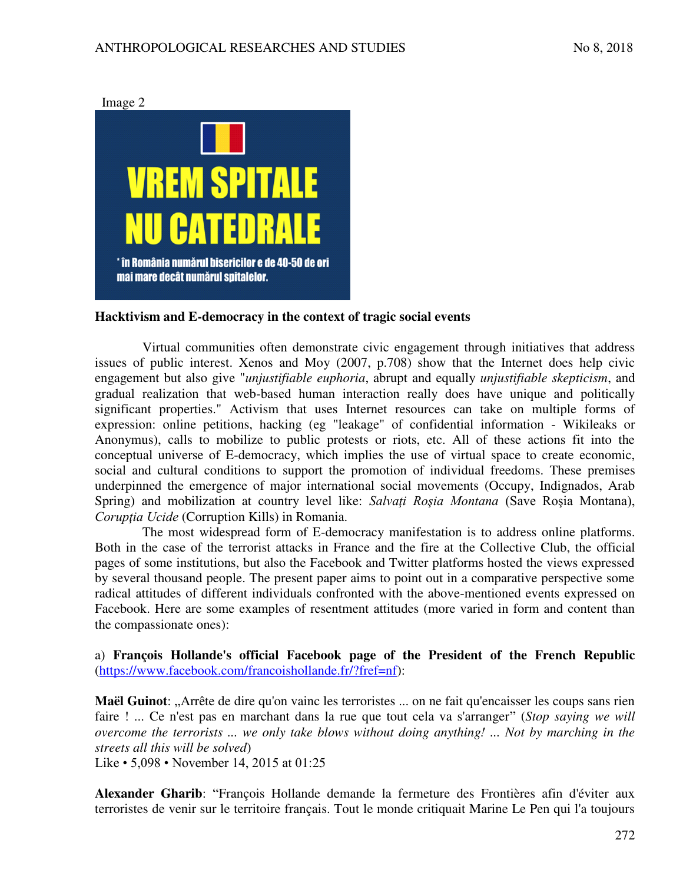

## **Hacktivism and E-democracy in the context of tragic social events**

Virtual communities often demonstrate civic engagement through initiatives that address issues of public interest. Xenos and Moy (2007, p.708) show that the Internet does help civic engagement but also give "*unjustifiable euphoria*, abrupt and equally *unjustifiable skepticism*, and gradual realization that web-based human interaction really does have unique and politically significant properties." Activism that uses Internet resources can take on multiple forms of expression: online petitions, hacking (eg "leakage" of confidential information - Wikileaks or Anonymus), calls to mobilize to public protests or riots, etc. All of these actions fit into the conceptual universe of E-democracy, which implies the use of virtual space to create economic, social and cultural conditions to support the promotion of individual freedoms. These premises underpinned the emergence of major international social movements (Occupy, Indignados, Arab Spring) and mobilization at country level like: *Salvaţi Roşia Montana* (Save Roşia Montana), *Corupţia Ucide* (Corruption Kills) in Romania.

The most widespread form of E-democracy manifestation is to address online platforms. Both in the case of the terrorist attacks in France and the fire at the Collective Club, the official pages of some institutions, but also the Facebook and Twitter platforms hosted the views expressed by several thousand people. The present paper aims to point out in a comparative perspective some radical attitudes of different individuals confronted with the above-mentioned events expressed on Facebook. Here are some examples of resentment attitudes (more varied in form and content than the compassionate ones):

a) **François Hollande's official Facebook page of the President of the French Republic** [\(https://www.facebook.com/francoishollande.fr/?fref=nf\)](https://www.facebook.com/francoishollande.fr/?fref=nf):

Maël Guinot: "Arrête de dire qu'on vainc les terroristes ... on ne fait qu'encaisser les coups sans rien faire ! ... Ce n'est pas en marchant dans la rue que tout cela va s'arranger" (*Stop saying we will overcome the terrorists ... we only take blows without doing anything! ... Not by marching in the streets all this will be solved*)

Like • 5,098 • November 14, 2015 at 01:25

**Alexander Gharib**: "François Hollande demande la fermeture des Frontières afin d'éviter aux terroristes de venir sur le territoire français. Tout le monde critiquait Marine Le Pen qui l'a toujours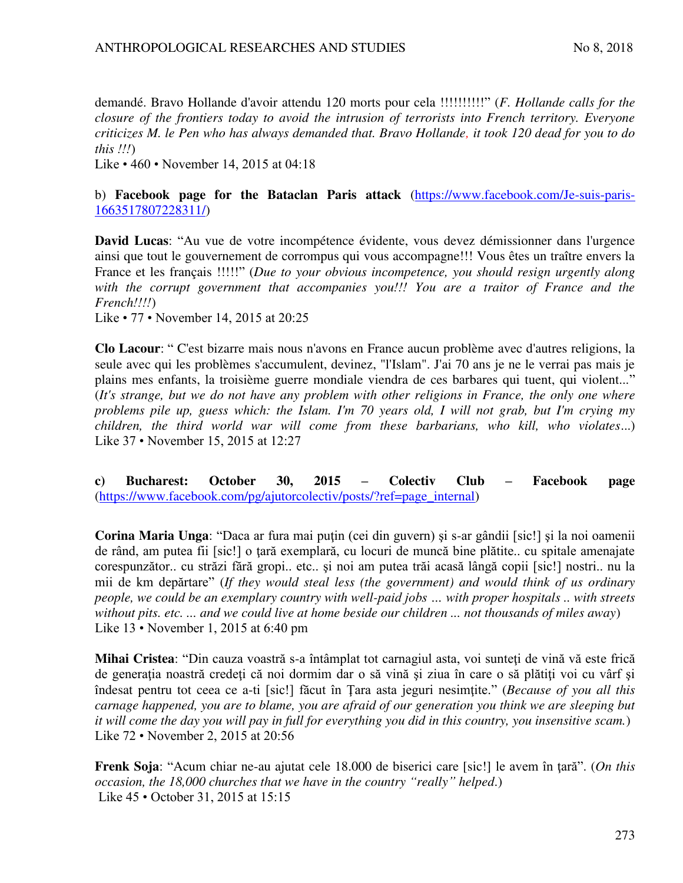demandé. Bravo Hollande d'avoir attendu 120 morts pour cela !!!!!!!!!!" (*F. Hollande calls for the closure of the frontiers today to avoid the intrusion of terrorists into French territory. Everyone criticizes M. le Pen who has always demanded that. Bravo Hollande, it took 120 dead for you to do this !!!*)

Like • 460 • November 14, 2015 at 04:18

## b) **Facebook page for the Bataclan Paris attack** [\(https://www.facebook.com/Je-suis-paris-](https://www.facebook.com/Je-suis-paris-1663517807228311/)[1663517807228311/\)](https://www.facebook.com/Je-suis-paris-1663517807228311/)

**David Lucas**: "Au vue de votre incompétence évidente, vous devez démissionner dans l'urgence ainsi que tout le gouvernement de corrompus qui vous accompagne!!! Vous êtes un traître envers la France et les français !!!!!" (*Due to your obvious incompetence, you should resign urgently along with the corrupt government that accompanies you!!! You are a traitor of France and the French!!!!*)

Like • 77 • November 14, 2015 at 20:25

**Clo Lacour**: " C'est bizarre mais nous n'avons en France aucun problème avec d'autres religions, la seule avec qui les problèmes s'accumulent, devinez, "l'Islam". J'ai 70 ans je ne le verrai pas mais je plains mes enfants, la troisième guerre mondiale viendra de ces barbares qui tuent, qui violent..." (*It's strange, but we do not have any problem with other religions in France, the only one where problems pile up, guess which: the Islam. I'm 70 years old, I will not grab, but I'm crying my children, the third world war will come from these barbarians, who kill, who violates*...) Like 37 • November 15, 2015 at 12:27

**c) Bucharest: October 30, 2015 – Colectiv Club – Facebook page**  [\(https://www.facebook.com/pg/ajutorcolectiv/posts/?ref=page\\_internal\)](https://www.facebook.com/pg/ajutorcolectiv/posts/?ref=page_internal)

**Corina Maria Unga**: "Daca ar fura mai putin (cei din guvern) și s-ar gândii [sic!] și la noi oamenii de rând, am putea fii [sic!] o țară exemplară, cu locuri de muncă bine plătite.. cu spitale amenajate corespunzător.. cu străzi fără gropi.. etc.. şi noi am putea trăi acasă lângă copii [sic!] nostri.. nu la mii de km depărtare" (*If they would steal less (the government) and would think of us ordinary people, we could be an exemplary country with well-paid jobs … with proper hospitals .. with streets without pits. etc. ... and we could live at home beside our children ... not thousands of miles away*) Like 13 • November 1, 2015 at 6:40 pm

**Mihai Cristea**: "Din cauza voastră s-a întâmplat tot carnagiul asta, voi sunteti de vină vă este frică de generația noastră credeți că noi dormim dar o să vină și ziua în care o să plătiți voi cu vârf și îndesat pentru tot ceea ce a-ti [sic!] făcut în Țara asta jeguri nesimțite." (*Because of you all this carnage happened, you are to blame, you are afraid of our generation you think we are sleeping but it will come the day you will pay in full for everything you did in this country, you insensitive scam.*) Like 72 • November 2, 2015 at 20:56

**Frenk Soja**: "Acum chiar ne-au ajutat cele 18.000 de biserici care [sic!] le avem în tară". (*On this occasion, the 18,000 churches that we have in the country "really" helped*.) Like 45 • October 31, 2015 at 15:15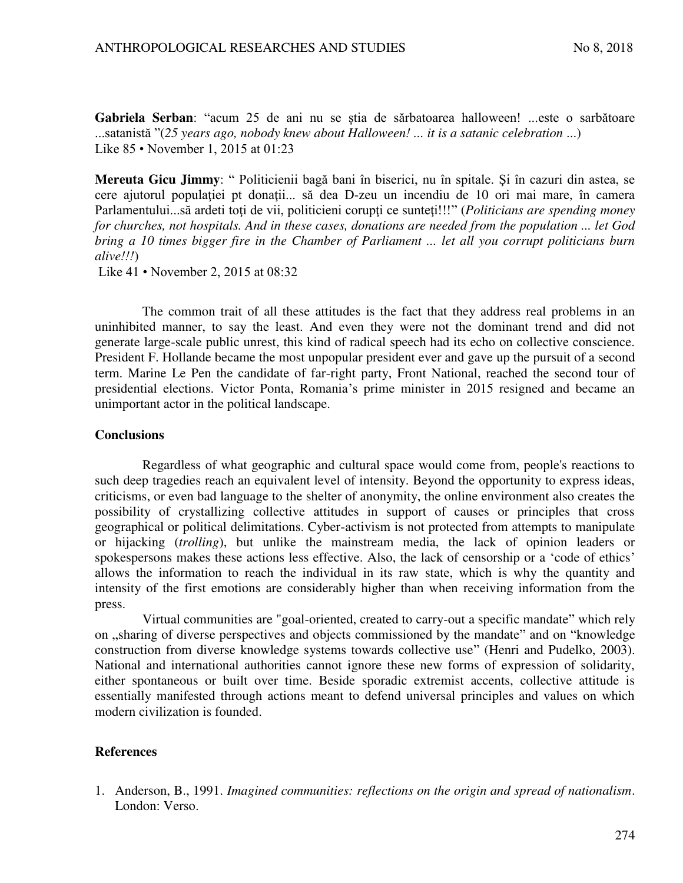Gabriela Serban: "acum 25 de ani nu se știa de sărbatoarea halloween! ...este o sarbătoare ...satanistă "(*25 years ago, nobody knew about Halloween! ... it is a satanic celebration* ...) Like 85 • November 1, 2015 at 01:23

**Mereuta Gicu Jimmy**: " Politicienii bagă bani în biserici, nu în spitale. Şi în cazuri din astea, se cere ajutorul populației pt donații... să dea D-zeu un incendiu de 10 ori mai mare, în camera Parlamentului...să ardeti toți de vii, politicieni corupți ce sunteți!!!" (*Politicians are spending money for churches, not hospitals. And in these cases, donations are needed from the population ... let God bring a 10 times bigger fire in the Chamber of Parliament ... let all you corrupt politicians burn alive!!!*)

Like 41 • November 2, 2015 at 08:32

The common trait of all these attitudes is the fact that they address real problems in an uninhibited manner, to say the least. And even they were not the dominant trend and did not generate large-scale public unrest, this kind of radical speech had its echo on collective conscience. President F. Hollande became the most unpopular president ever and gave up the pursuit of a second term. Marine Le Pen the candidate of far-right party, Front National, reached the second tour of presidential elections. Victor Ponta, Romania's prime minister in 2015 resigned and became an unimportant actor in the political landscape.

### **Conclusions**

Regardless of what geographic and cultural space would come from, people's reactions to such deep tragedies reach an equivalent level of intensity. Beyond the opportunity to express ideas, criticisms, or even bad language to the shelter of anonymity, the online environment also creates the possibility of crystallizing collective attitudes in support of causes or principles that cross geographical or political delimitations. Cyber-activism is not protected from attempts to manipulate or hijacking (*trolling*), but unlike the mainstream media, the lack of opinion leaders or spokespersons makes these actions less effective. Also, the lack of censorship or a 'code of ethics' allows the information to reach the individual in its raw state, which is why the quantity and intensity of the first emotions are considerably higher than when receiving information from the press.

Virtual communities are "goal-oriented, created to carry-out a specific mandate" which rely on "sharing of diverse perspectives and objects commissioned by the mandate" and on "knowledge" construction from diverse knowledge systems towards collective use" (Henri and Pudelko, 2003). National and international authorities cannot ignore these new forms of expression of solidarity, either spontaneous or built over time. Beside sporadic extremist accents, collective attitude is essentially manifested through actions meant to defend universal principles and values on which modern civilization is founded.

### **References**

1. Anderson, B., 1991. *Imagined communities: reflections on the origin and spread of nationalism*. London: Verso.